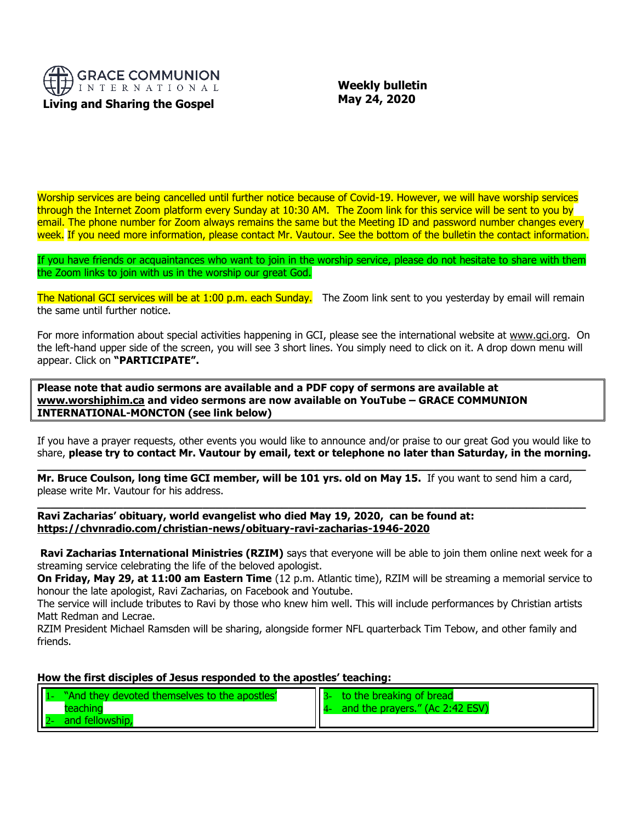

 **Weekly bulletin May 24, 2020**

Worship services are being cancelled until further notice because of Covid-19. However, we will have worship services through the Internet Zoom platform every Sunday at 10:30 AM. The Zoom link for this service will be sent to you by email. The phone number for Zoom always remains the same but the Meeting ID and password number changes every week. If you need more information, please contact Mr. Vautour. See the bottom of the bulletin the contact information.

If you have friends or acquaintances who want to join in the worship service, please do not hesitate to share with them the Zoom links to join with us in the worship our great God.

The National GCI services will be at 1:00 p.m. each Sunday. The Zoom link sent to you yesterday by email will remain the same until further notice.

For more information about special activities happening in GCI, please see the international website at [www.gci.org.](http://www.gci.org/) On the left-hand upper side of the screen, you will see 3 short lines. You simply need to click on it. A drop down menu will appear. Click on **"PARTICIPATE".** 

**Please note that audio sermons are available and a PDF copy of sermons are available at [www.worshiphim.ca](http://www.worshiphim.ca/) and video sermons are now available on YouTube – GRACE COMMUNION INTERNATIONAL-MONCTON (see link below)**

If you have a prayer requests, other events you would like to announce and/or praise to our great God you would like to share, **please try to contact Mr. Vautour by email, text or telephone no later than Saturday, in the morning. \_\_\_\_\_\_\_\_\_\_\_\_\_\_\_\_\_\_\_\_\_\_\_\_\_\_\_\_\_\_\_\_\_\_\_\_\_\_\_\_\_\_\_\_\_\_\_\_\_\_\_\_\_\_\_\_\_\_\_\_\_\_\_\_\_\_\_\_\_\_\_\_\_\_\_\_\_\_\_\_\_\_\_**

**Mr. Bruce Coulson, long time GCI member, will be 101 yrs. old on May 15.** If you want to send him a card, please write Mr. Vautour for his address.

**\_\_\_\_\_\_\_\_\_\_\_\_\_\_\_\_\_\_\_\_\_\_\_\_\_\_\_\_\_\_\_\_\_\_\_\_\_\_\_\_\_\_\_\_\_\_\_\_\_\_\_\_\_\_\_\_\_\_\_\_\_\_\_\_\_\_\_\_\_\_\_\_\_\_\_\_\_\_\_\_\_\_\_**

**Ravi Zacharias' obituary, world evangelist who died May 19, 2020, can be found at: <https://chvnradio.com/christian-news/obituary-ravi-zacharias-1946-2020>**

**Ravi Zacharias International Ministries (RZIM)** says that everyone will be able to join them online next week for a streaming service celebrating the life of the beloved apologist.

**On Friday, May 29, at 11:00 am Eastern Time** (12 p.m. Atlantic time), RZIM will be streaming a memorial service to honour the late apologist, Ravi Zacharias, on Facebook and Youtube.

The service will include tributes to Ravi by those who knew him well. This will include performances by Christian artists Matt Redman and Lecrae.

RZIM President Michael Ramsden will be sharing, alongside former NFL quarterback Tim Tebow, and other family and friends.

#### **How the first disciples of Jesus responded to the apostles' teaching:**

| "And they devoted themselves to the apostles" | to the breaking of bread        |
|-----------------------------------------------|---------------------------------|
|                                               | and the prayers." (Ac 2:42 ESV) |
| and fellowship.                               |                                 |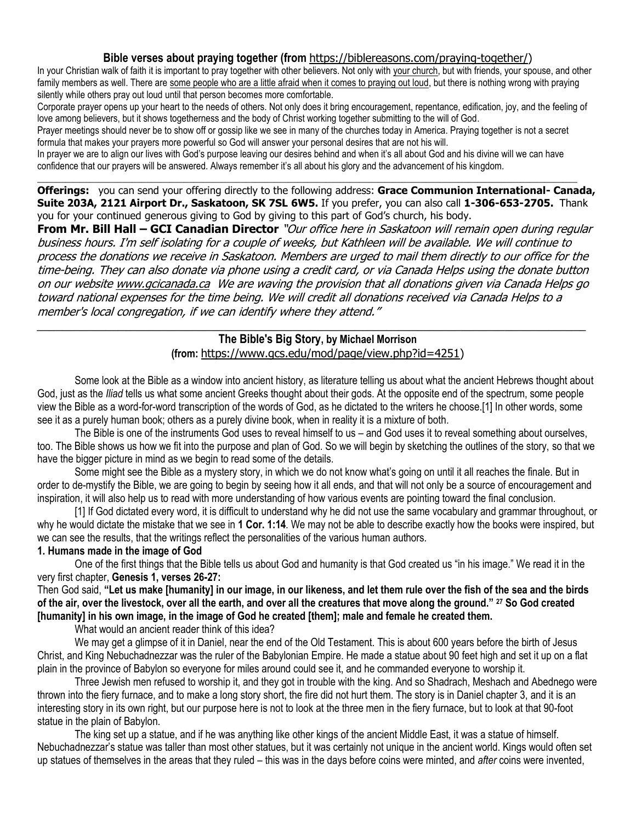# **Bible verses about praying together (from** [https://biblereasons.com/praying-together/\)](https://biblereasons.com/praying-together/)

In your Christian walk of faith it is important to pray together with other believers. Not only with [your church,](https://biblereasons.com/reasons-for-attending-church/) but with friends, your spouse, and other family members as well. There are [some people who are a little afraid when it comes to praying out loud,](https://biblereasons.com/praying-out-loud/) but there is nothing wrong with praying silently while others pray out loud until that person becomes more comfortable.

Corporate prayer opens up your heart to the needs of others. Not only does it bring encouragement, repentance, edification, joy, and the feeling of love among believers, but it shows togetherness and the body of Christ working together submitting to the will of God.

Prayer meetings should never be to show off or gossip like we see in many of the churches today in America. Praying together is not a secret formula that makes your prayers more powerful so God will answer your personal desires that are not his will.

In prayer we are to align our lives with God's purpose leaving our desires behind and when it's all about God and his divine will we can have confidence that our prayers will be answered. Always remember it's all about his glory and the advancement of his kingdom.

\_\_\_\_\_\_\_\_\_\_\_\_\_\_\_\_\_\_\_\_\_\_\_\_\_\_\_\_\_\_\_\_\_\_\_\_\_\_\_\_\_\_\_\_\_\_\_\_\_\_\_\_\_\_\_\_\_\_\_\_\_\_\_\_\_\_\_\_\_\_\_\_\_\_\_\_\_\_\_\_\_\_\_\_\_\_\_\_\_\_\_\_\_\_\_\_\_\_\_\_\_\_\_\_\_\_\_\_\_\_\_\_\_\_

**Offerings:** you can send your offering directly to the following address: **Grace Communion International- Canada, Suite 203A, 2121 Airport Dr., Saskatoon, SK 7SL 6W5.** If you prefer, you can also call **1-306-653-2705.** Thank you for your continued generous giving to God by giving to this part of God's church, his body.

**From Mr. Bill Hall – GCI Canadian Director** "Our office here in Saskatoon will remain open during regular business hours. I'm self isolating for a couple of weeks, but Kathleen will be available. We will continue to process the donations we receive in Saskatoon. Members are urged to mail them directly to our office for the time-being. They can also donate via phone using a credit card, or via Canada Helps using the donate button on our websit[e www.gcicanada.ca](https://eur03.safelinks.protection.outlook.com/?url=http%3A%2F%2Fwww.gcicanada.ca%2F&data=02%7C01%7C%7C9fd93e29c2b44509e5a008d7caa78fdb%7C84df9e7fe9f640afb435aaaaaaaaaaaa%7C1%7C0%7C637200693331983394&sdata=VAGy4Q%2BxbhHuYaeEiDz%2FQyicT%2FoiY4Ir9kc8w5yHRPs%3D&reserved=0) We are waving the provision that all donations given via Canada Helps go toward national expenses for the time being. We will credit all donations received via Canada Helps to a member's local congregation, if we can identify where they attend."

#### \_\_\_\_\_\_\_\_\_\_\_\_\_\_\_\_\_\_\_\_\_\_\_\_\_\_\_\_\_\_\_\_\_\_\_\_\_\_\_\_\_\_\_\_\_\_\_\_\_\_\_\_\_\_\_\_\_\_\_\_\_\_\_\_\_\_\_\_\_\_\_\_\_\_\_\_\_\_\_\_\_\_\_\_\_\_\_\_ **The Bible's Big Story, by Michael Morrison (from:** [https://www.gcs.edu/mod/page/view.php?id=4251\)](https://www.gcs.edu/mod/page/view.php?id=4251)

Some look at the Bible as a window into ancient history, as literature telling us about what the ancient Hebrews thought about God, just as the *Iliad* tells us what some ancient Greeks thought about their gods. At the opposite end of the spectrum, some people view the Bible as a word-for-word transcription of the words of God, as he dictated to the writers he choose.[1] In other words, some see it as a purely human book; others as a purely divine book, when in reality it is a mixture of both.

The Bible is one of the instruments God uses to reveal himself to us – and God uses it to reveal something about ourselves, too. The Bible shows us how we fit into the purpose and plan of God. So we will begin by sketching the outlines of the story, so that we have the bigger picture in mind as we begin to read some of the details.

Some might see the Bible as a mystery story, in which we do not know what's going on until it all reaches the finale. But in order to de-mystify the Bible, we are going to begin by seeing how it all ends, and that will not only be a source of encouragement and inspiration, it will also help us to read with more understanding of how various events are pointing toward the final conclusion.

[1] If God dictated every word, it is difficult to understand why he did not use the same vocabulary and grammar throughout, or why he would dictate the mistake that we see in **1 Cor. 1:14**. We may not be able to describe exactly how the books were inspired, but we can see the results, that the writings reflect the personalities of the various human authors.

# **1. Humans made in the image of God**

One of the first things that the Bible tells us about God and humanity is that God created us "in his image." We read it in the very first chapter, **Genesis 1, verses 26-27:**

Then God said, **"Let us make [humanity] in our image, in our likeness, and let them rule over the fish of the sea and the birds of the air, over the livestock, over all the earth, and over all the creatures that move along the ground." <sup>27</sup> So God created [humanity] in his own image, in the image of God he created [them]; male and female he created them.**

What would an ancient reader think of this idea?

We may get a glimpse of it in Daniel, near the end of the Old Testament. This is about 600 years before the birth of Jesus Christ, and King Nebuchadnezzar was the ruler of the Babylonian Empire. He made a statue about 90 feet high and set it up on a flat plain in the province of Babylon so everyone for miles around could see it, and he commanded everyone to worship it.

Three Jewish men refused to worship it, and they got in trouble with the king. And so Shadrach, Meshach and Abednego were thrown into the fiery furnace, and to make a long story short, the fire did not hurt them. The story is in Daniel chapter 3, and it is an interesting story in its own right, but our purpose here is not to look at the three men in the fiery furnace, but to look at that 90-foot statue in the plain of Babylon.

The king set up a statue, and if he was anything like other kings of the ancient Middle East, it was a statue of himself. Nebuchadnezzar's statue was taller than most other statues, but it was certainly not unique in the ancient world. Kings would often set up statues of themselves in the areas that they ruled – this was in the days before coins were minted, and *after* coins were invented,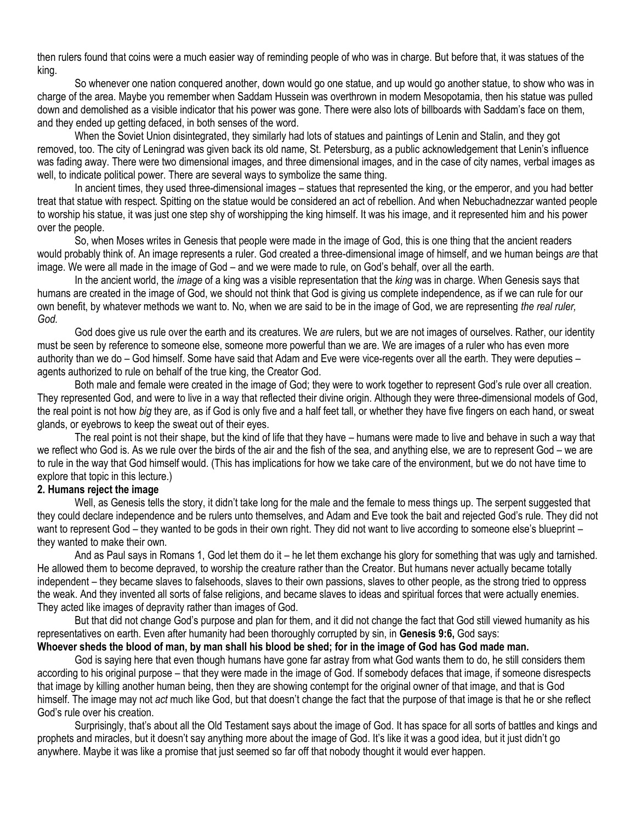then rulers found that coins were a much easier way of reminding people of who was in charge. But before that, it was statues of the king.

So whenever one nation conquered another, down would go one statue, and up would go another statue, to show who was in charge of the area. Maybe you remember when Saddam Hussein was overthrown in modern Mesopotamia, then his statue was pulled down and demolished as a visible indicator that his power was gone. There were also lots of billboards with Saddam's face on them, and they ended up getting defaced, in both senses of the word.

When the Soviet Union disintegrated, they similarly had lots of statues and paintings of Lenin and Stalin, and they got removed, too. The city of Leningrad was given back its old name, St. Petersburg, as a public acknowledgement that Lenin's influence was fading away. There were two dimensional images, and three dimensional images, and in the case of city names, verbal images as well, to indicate political power. There are several ways to symbolize the same thing.

In ancient times, they used three-dimensional images – statues that represented the king, or the emperor, and you had better treat that statue with respect. Spitting on the statue would be considered an act of rebellion. And when Nebuchadnezzar wanted people to worship his statue, it was just one step shy of worshipping the king himself. It was his image, and it represented him and his power over the people.

So, when Moses writes in Genesis that people were made in the image of God, this is one thing that the ancient readers would probably think of. An image represents a ruler. God created a three-dimensional image of himself, and we human beings *are* that image. We were all made in the image of God – and we were made to rule, on God's behalf, over all the earth.

In the ancient world, the *image* of a king was a visible representation that the *king* was in charge. When Genesis says that humans are created in the image of God, we should not think that God is giving us complete independence, as if we can rule for our own benefit, by whatever methods we want to. No, when we are said to be in the image of God, we are representing *the real ruler, God.*

God does give us rule over the earth and its creatures. We *are* rulers, but we are not images of ourselves. Rather, our identity must be seen by reference to someone else, someone more powerful than we are. We are images of a ruler who has even more authority than we do – God himself. Some have said that Adam and Eve were vice-regents over all the earth. They were deputies – agents authorized to rule on behalf of the true king, the Creator God.

Both male and female were created in the image of God; they were to work together to represent God's rule over all creation. They represented God, and were to live in a way that reflected their divine origin. Although they were three-dimensional models of God, the real point is not how *big* they are, as if God is only five and a half feet tall, or whether they have five fingers on each hand, or sweat glands, or eyebrows to keep the sweat out of their eyes.

The real point is not their shape, but the kind of life that they have – humans were made to live and behave in such a way that we reflect who God is. As we rule over the birds of the air and the fish of the sea, and anything else, we are to represent God – we are to rule in the way that God himself would. (This has implications for how we take care of the environment, but we do not have time to explore that topic in this lecture.)

#### **2. Humans reject the image**

Well, as Genesis tells the story, it didn't take long for the male and the female to mess things up. The serpent suggested that they could declare independence and be rulers unto themselves, and Adam and Eve took the bait and rejected God's rule. They did not want to represent God – they wanted to be gods in their own right. They did not want to live according to someone else's blueprint – they wanted to make their own.

And as Paul says in Romans 1, God let them do it – he let them exchange his glory for something that was ugly and tarnished. He allowed them to become depraved, to worship the creature rather than the Creator. But humans never actually became totally independent – they became slaves to falsehoods, slaves to their own passions, slaves to other people, as the strong tried to oppress the weak. And they invented all sorts of false religions, and became slaves to ideas and spiritual forces that were actually enemies. They acted like images of depravity rather than images of God.

But that did not change God's purpose and plan for them, and it did not change the fact that God still viewed humanity as his representatives on earth. Even after humanity had been thoroughly corrupted by sin, in **Genesis 9:6,** God says:

# **Whoever sheds the blood of man, by man shall his blood be shed; for in the image of God has God made man.**

God is saying here that even though humans have gone far astray from what God wants them to do, he still considers them according to his original purpose – that they were made in the image of God. If somebody defaces that image, if someone disrespects that image by killing another human being, then they are showing contempt for the original owner of that image, and that is God himself. The image may not *act* much like God, but that doesn't change the fact that the purpose of that image is that he or she reflect God's rule over his creation.

Surprisingly, that's about all the Old Testament says about the image of God. It has space for all sorts of battles and kings and prophets and miracles, but it doesn't say anything more about the image of God. It's like it was a good idea, but it just didn't go anywhere. Maybe it was like a promise that just seemed so far off that nobody thought it would ever happen.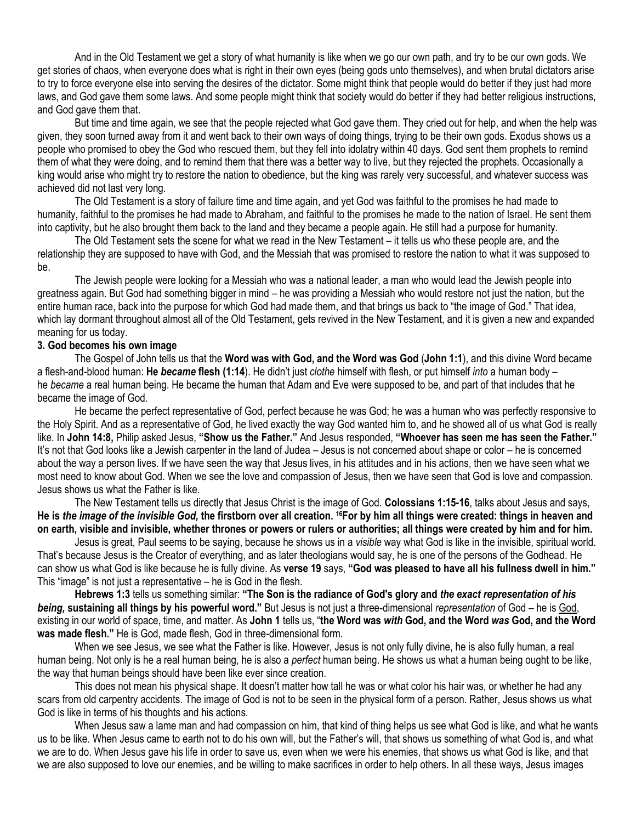And in the Old Testament we get a story of what humanity is like when we go our own path, and try to be our own gods. We get stories of chaos, when everyone does what is right in their own eyes (being gods unto themselves), and when brutal dictators arise to try to force everyone else into serving the desires of the dictator. Some might think that people would do better if they just had more laws, and God gave them some laws. And some people might think that society would do better if they had better religious instructions, and God gave them that.

But time and time again, we see that the people rejected what God gave them. They cried out for help, and when the help was given, they soon turned away from it and went back to their own ways of doing things, trying to be their own gods. Exodus shows us a people who promised to obey the God who rescued them, but they fell into idolatry within 40 days. God sent them prophets to remind them of what they were doing, and to remind them that there was a better way to live, but they rejected the prophets. Occasionally a king would arise who might try to restore the nation to obedience, but the king was rarely very successful, and whatever success was achieved did not last very long.

The Old Testament is a story of failure time and time again, and yet God was faithful to the promises he had made to humanity, faithful to the promises he had made to Abraham, and faithful to the promises he made to the nation of Israel. He sent them into captivity, but he also brought them back to the land and they became a people again. He still had a purpose for humanity.

The Old Testament sets the scene for what we read in the New Testament – it tells us who these people are, and the relationship they are supposed to have with God, and the Messiah that was promised to restore the nation to what it was supposed to be.

The Jewish people were looking for a Messiah who was a national leader, a man who would lead the Jewish people into greatness again. But God had something bigger in mind – he was providing a Messiah who would restore not just the nation, but the entire human race, back into the purpose for which God had made them, and that brings us back to "the image of God." That idea, which lay dormant throughout almost all of the Old Testament, gets revived in the New Testament, and it is given a new and expanded meaning for us today.

#### **3. God becomes his own image**

The Gospel of John tells us that the **Word was with God, and the Word was God** (**John 1:1**), and this divine Word became a flesh-and-blood human: **He** *became* **flesh (1:14**). He didn't just *clothe* himself with flesh, or put himself *into* a human body – he *became* a real human being. He became the human that Adam and Eve were supposed to be, and part of that includes that he became the image of God.

He became the perfect representative of God, perfect because he was God; he was a human who was perfectly responsive to the Holy Spirit. And as a representative of God, he lived exactly the way God wanted him to, and he showed all of us what God is really like. In **John 14:8,** Philip asked Jesus, **"Show us the Father."** And Jesus responded, **"Whoever has seen me has seen the Father."** It's not that God looks like a Jewish carpenter in the land of Judea – Jesus is not concerned about shape or color – he is concerned about the way a person lives. If we have seen the way that Jesus lives, in his attitudes and in his actions, then we have seen what we most need to know about God. When we see the love and compassion of Jesus, then we have seen that God is love and compassion. Jesus shows us what the Father is like.

The New Testament tells us directly that Jesus Christ is the image of God. **Colossians 1:15-16**, talks about Jesus and says, **He is** *the image of the invisible God,* **the firstborn over all creation. <sup>16</sup>For by him all things were created: things in heaven and on earth, visible and invisible, whether thrones or powers or rulers or authorities; all things were created by him and for him.**

Jesus is great, Paul seems to be saying, because he shows us in a *visible* way what God is like in the invisible, spiritual world. That's because Jesus is the Creator of everything, and as later theologians would say, he is one of the persons of the Godhead. He can show us what God is like because he is fully divine. As **verse 19** says, **"God was pleased to have all his fullness dwell in him."** This "image" is not just a representative – he is God in the flesh.

**Hebrews 1:3** tells us something similar: **"The Son is the radiance of God's glory and** *the exact representation of his being,* **sustaining all things by his powerful word."** But Jesus is not just a three-dimensional *representation* of God – he is God, existing in our world of space, time, and matter. As **John 1** tells us, "**the Word was** *with* **God, and the Word** *was* **God, and the Word was made flesh."** He is God, made flesh, God in three-dimensional form.

When we see Jesus, we see what the Father is like. However, Jesus is not only fully divine, he is also fully human, a real human being. Not only is he a real human being, he is also a *perfect* human being. He shows us what a human being ought to be like, the way that human beings should have been like ever since creation.

This does not mean his physical shape. It doesn't matter how tall he was or what color his hair was, or whether he had any scars from old carpentry accidents. The image of God is not to be seen in the physical form of a person. Rather, Jesus shows us what God is like in terms of his thoughts and his actions.

When Jesus saw a lame man and had compassion on him, that kind of thing helps us see what God is like, and what he wants us to be like. When Jesus came to earth not to do his own will, but the Father's will, that shows us something of what God is, and what we are to do. When Jesus gave his life in order to save us, even when we were his enemies, that shows us what God is like, and that we are also supposed to love our enemies, and be willing to make sacrifices in order to help others. In all these ways, Jesus images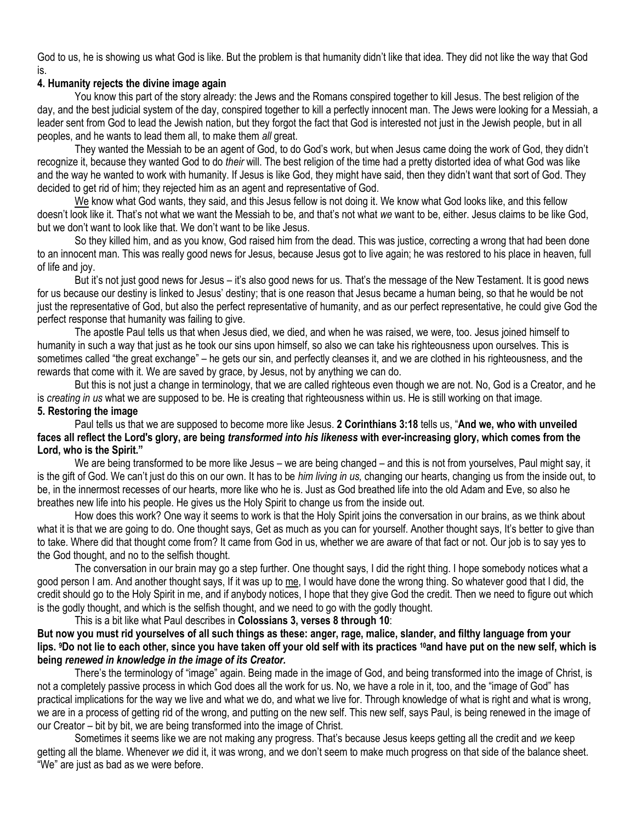God to us, he is showing us what God is like. But the problem is that humanity didn't like that idea. They did not like the way that God is.

# **4. Humanity rejects the divine image again**

You know this part of the story already: the Jews and the Romans conspired together to kill Jesus. The best religion of the day, and the best judicial system of the day, conspired together to kill a perfectly innocent man. The Jews were looking for a Messiah, a leader sent from God to lead the Jewish nation, but they forgot the fact that God is interested not just in the Jewish people, but in all peoples, and he wants to lead them all, to make them *all* great.

They wanted the Messiah to be an agent of God, to do God's work, but when Jesus came doing the work of God, they didn't recognize it, because they wanted God to do *their* will. The best religion of the time had a pretty distorted idea of what God was like and the way he wanted to work with humanity. If Jesus is like God, they might have said, then they didn't want that sort of God. They decided to get rid of him; they rejected him as an agent and representative of God.

We know what God wants, they said, and this Jesus fellow is not doing it. We know what God looks like, and this fellow doesn't look like it. That's not what we want the Messiah to be, and that's not what *we* want to be, either. Jesus claims to be like God, but we don't want to look like that. We don't want to be like Jesus.

So they killed him, and as you know, God raised him from the dead. This was justice, correcting a wrong that had been done to an innocent man. This was really good news for Jesus, because Jesus got to live again; he was restored to his place in heaven, full of life and joy.

But it's not just good news for Jesus – it's also good news for us. That's the message of the New Testament. It is good news for us because our destiny is linked to Jesus' destiny; that is one reason that Jesus became a human being, so that he would be not just the representative of God, but also the perfect representative of humanity, and as our perfect representative, he could give God the perfect response that humanity was failing to give.

The apostle Paul tells us that when Jesus died, we died, and when he was raised, we were, too. Jesus joined himself to humanity in such a way that just as he took our sins upon himself, so also we can take his righteousness upon ourselves. This is sometimes called "the great exchange" – he gets our sin, and perfectly cleanses it, and we are clothed in his righteousness, and the rewards that come with it. We are saved by grace, by Jesus, not by anything we can do.

But this is not just a change in terminology, that we are called righteous even though we are not. No, God is a Creator, and he is *creating in us* what we are supposed to be. He is creating that righteousness within us. He is still working on that image.

# **5. Restoring the image**

Paul tells us that we are supposed to become more like Jesus. **2 Corinthians 3:18** tells us, "**And we, who with unveiled faces all reflect the Lord's glory, are being** *transformed into his likeness* **with ever-increasing glory, which comes from the Lord, who is the Spirit."**

We are being transformed to be more like Jesus – we are being changed – and this is not from yourselves, Paul might say, it is the gift of God. We can't just do this on our own. It has to be *him living in us,* changing our hearts, changing us from the inside out, to be, in the innermost recesses of our hearts, more like who he is. Just as God breathed life into the old Adam and Eve, so also he breathes new life into his people. He gives us the Holy Spirit to change us from the inside out.

How does this work? One way it seems to work is that the Holy Spirit joins the conversation in our brains, as we think about what it is that we are going to do. One thought says, Get as much as you can for yourself. Another thought says, It's better to give than to take. Where did that thought come from? It came from God in us, whether we are aware of that fact or not. Our job is to say yes to the God thought, and no to the selfish thought.

The conversation in our brain may go a step further. One thought says, I did the right thing. I hope somebody notices what a good person I am. And another thought says, If it was up to me, I would have done the wrong thing. So whatever good that I did, the credit should go to the Holy Spirit in me, and if anybody notices, I hope that they give God the credit. Then we need to figure out which is the godly thought, and which is the selfish thought, and we need to go with the godly thought.

This is a bit like what Paul describes in **Colossians 3, verses 8 through 10**: **But now you must rid yourselves of all such things as these: anger, rage, malice, slander, and filthy language from your lips. <sup>9</sup>Do not lie to each other, since you have taken off your old self with its practices <sup>10</sup>and have put on the new self, which is being** *renewed in knowledge in the image of its Creator.*

There's the terminology of "image" again. Being made in the image of God, and being transformed into the image of Christ, is not a completely passive process in which God does all the work for us. No, we have a role in it, too, and the "image of God" has practical implications for the way we live and what we do, and what we live for. Through knowledge of what is right and what is wrong, we are in a process of getting rid of the wrong, and putting on the new self. This new self, says Paul, is being renewed in the image of our Creator – bit by bit, we are being transformed into the image of Christ.

Sometimes it seems like we are not making any progress. That's because Jesus keeps getting all the credit and *we* keep getting all the blame. Whenever *we* did it, it was wrong, and we don't seem to make much progress on that side of the balance sheet. "We" are just as bad as we were before.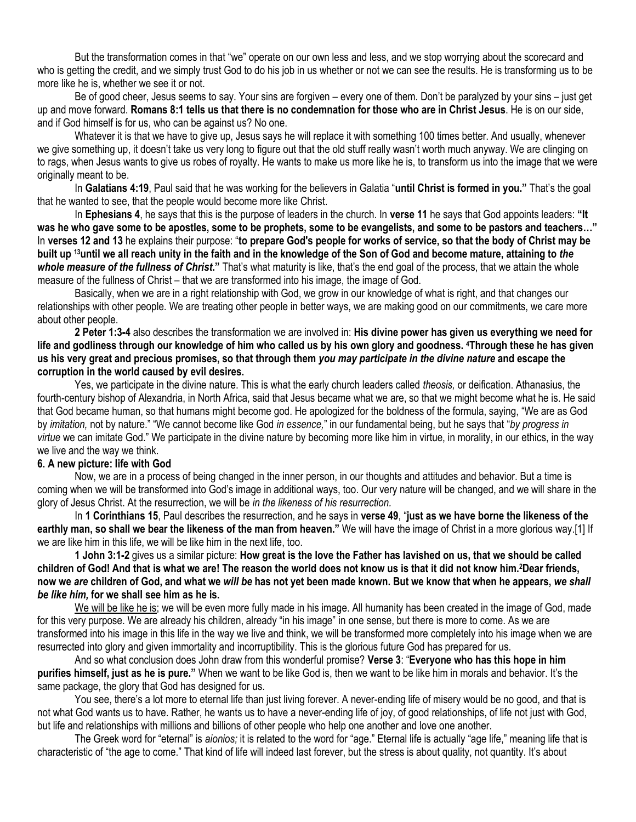But the transformation comes in that "we" operate on our own less and less, and we stop worrying about the scorecard and who is getting the credit, and we simply trust God to do his job in us whether or not we can see the results. He is transforming us to be more like he is, whether we see it or not.

Be of good cheer, Jesus seems to say. Your sins are forgiven – every one of them. Don't be paralyzed by your sins – just get up and move forward. **Romans 8:1 tells us that there is no condemnation for those who are in Christ Jesus**. He is on our side, and if God himself is for us, who can be against us? No one.

Whatever it is that we have to give up, Jesus says he will replace it with something 100 times better. And usually, whenever we give something up, it doesn't take us very long to figure out that the old stuff really wasn't worth much anyway. We are clinging on to rags, when Jesus wants to give us robes of royalty. He wants to make us more like he is, to transform us into the image that we were originally meant to be.

In **Galatians 4:19**, Paul said that he was working for the believers in Galatia "**until Christ is formed in you."** That's the goal that he wanted to see, that the people would become more like Christ.

In **Ephesians 4**, he says that this is the purpose of leaders in the church. In **verse 11** he says that God appoints leaders: **"It was he who gave some to be apostles, some to be prophets, some to be evangelists, and some to be pastors and teachers…"** In **verses 12 and 13** he explains their purpose: "**to prepare God's people for works of service, so that the body of Christ may be built up <sup>13</sup>until we all reach unity in the faith and in the knowledge of the Son of God and become mature, attaining to** *the whole measure of the fullness of Christ***."** That's what maturity is like, that's the end goal of the process, that we attain the whole measure of the fullness of Christ – that we are transformed into his image, the image of God.

Basically, when we are in a right relationship with God, we grow in our knowledge of what is right, and that changes our relationships with other people. We are treating other people in better ways, we are making good on our commitments, we care more about other people.

**2 Peter 1:3-4** also describes the transformation we are involved in: **His divine power has given us everything we need for life and godliness through our knowledge of him who called us by his own glory and goodness. <sup>4</sup>Through these he has given us his very great and precious promises, so that through them** *you may participate in the divine nature* **and escape the corruption in the world caused by evil desires.**

Yes, we participate in the divine nature. This is what the early church leaders called *theosis,* or deification. Athanasius, the fourth-century bishop of Alexandria, in North Africa, said that Jesus became what we are, so that we might become what he is. He said that God became human, so that humans might become god. He apologized for the boldness of the formula, saying, "We are as God by *imitation,* not by nature." "We cannot become like God *in essence,*" in our fundamental being, but he says that "*by progress in virtue* we can imitate God." We participate in the divine nature by becoming more like him in virtue, in morality, in our ethics, in the way we live and the way we think.

#### **6. A new picture: life with God**

Now, we are in a process of being changed in the inner person, in our thoughts and attitudes and behavior. But a time is coming when we will be transformed into God's image in additional ways, too. Our very nature will be changed, and we will share in the glory of Jesus Christ. At the resurrection, we will be *in the likeness of his resurrection.*

In **1 Corinthians 15**, Paul describes the resurrection, and he says in **verse 49**, "**just as we have borne the likeness of the earthly man, so shall we bear the likeness of the man from heaven."** We will have the image of Christ in a more glorious way.[1] If we are like him in this life, we will be like him in the next life, too.

**1 John 3:1-2** gives us a similar picture: **How great is the love the Father has lavished on us, that we should be called children of God! And that is what we are! The reason the world does not know us is that it did not know him. <sup>2</sup>Dear friends, now we** *are* **children of God, and what we** *will be* **has not yet been made known. But we know that when he appears,** *we shall be like him,* **for we shall see him as he is.**

We will be like he is; we will be even more fully made in his image. All humanity has been created in the image of God, made for this very purpose. We are already his children, already "in his image" in one sense, but there is more to come. As we are transformed into his image in this life in the way we live and think, we will be transformed more completely into his image when we are resurrected into glory and given immortality and incorruptibility. This is the glorious future God has prepared for us.

And so what conclusion does John draw from this wonderful promise? **Verse 3**: "**Everyone who has this hope in him purifies himself, just as he is pure."** When we want to be like God is, then we want to be like him in morals and behavior. It's the same package, the glory that God has designed for us.

You see, there's a lot more to eternal life than just living forever. A never-ending life of misery would be no good, and that is not what God wants us to have. Rather, he wants us to have a never-ending life of joy, of good relationships, of life not just with God, but life and relationships with millions and billions of other people who help one another and love one another.

The Greek word for "eternal" is *aionios;* it is related to the word for "age." Eternal life is actually "age life," meaning life that is characteristic of "the age to come." That kind of life will indeed last forever, but the stress is about quality, not quantity. It's about